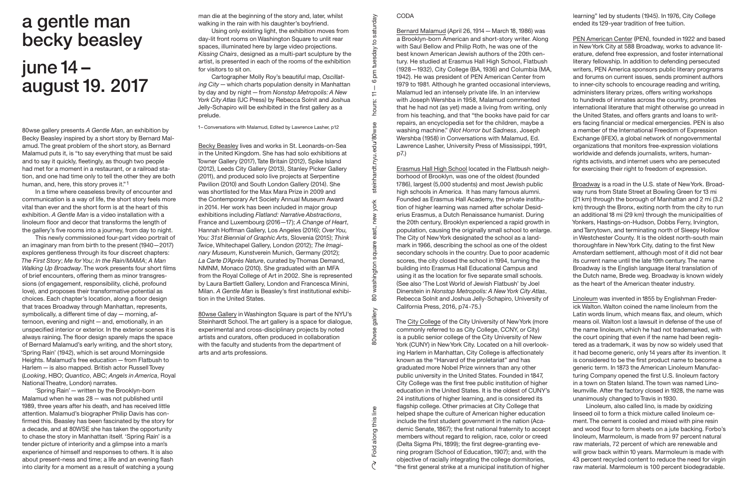80wse gallery presents *A Gentle Man*, an exhibition by Becky Beasley inspired by a short story by Bernard Malamud. The great problem of the short story, as Bernard Malamud puts it, is "to say everything that must be said and to say it quickly, fleetingly, as though two people had met for a moment in a restaurant, or a railroad station, and one had time only to tell the other they are both human, and, here, this story proves it."1

In a time where ceaseless brevity of encounter and communication is a way of life, the short story feels more vital than ever and the short form is at the heart of this exhibition. *A Gentle Man* is a video installation with a linoleum floor and decor that transforms the length of the gallery's five rooms into a journey, from day to night.

This newly commissioned four-part video portrait of an imaginary man from birth to the present (1940—2017) explores gentleness through its four discreet chapters: *The First Story*; *Me for You*; *In the Rain/MAMA*; *A Man Walking Up Broadway*. The work presents four short films of brief encounters, offering them as minor transgressions (of engagement, responsibility, cliché, profound love), and proposes their transformative potential as choices. Each chapter's location, along a floor design that traces Broadway through Manhattan, represents, symbolically, a different time of day—morning, afternoon, evening and night—and, emotionally, in an unspecified interior or exterior. In the exterior scenes it is always raining. The floor design sparely maps the space of Bernard Malamud's early writing, and the short story, 'Spring Rain' (1942), which is set around Morningside Heights. Malamud's free education—from Flatbush to Harlem—is also mapped. British actor Russell Tovey (*Looking*, HBO; *Quantico*, ABC; *Angels in America*, Royal National Theatre, London) narrates.

Bernard Malamud (April 26, 1914 – March 18, 1986) was a Brooklyn-born American and short-story writer. Along with Saul Bellow and Philip Roth, he was one of the best known American Jewish authors of the 20th century. He studied at Erasmus Hall High School, Flatbush (1928—1932), City College (BA,1936) and Columbia (MA, 1942). He was president of PEN American Center from 1979 to 1981. Although he granted occasional interviews, Malamud led an intensely private life. In an interview with Joseph Wershba in 1958, Malamud commented that he had not (as yet) made a living from writing, only from his teaching, and that "the books have paid for car repairs, an encyclopedia set for the children, maybe a washing machine." (*Not Horror but Sadness*, Joseph Wershba (1958) in Conversations with Malamud, Ed. Lawrence Lasher, University Press of Mississippi,1991, p7.)

'Spring Rain'—written by the Brooklyn-born Malamud when he was 28—was not published until 1989, three years after his death, and has received little attention. Malamud's biographer Philip Davis has confirmed this. Beasley has been fascinated by the story for a decade, and at 80WSE she has taken the opportunity to chase the story in Manhattan itself. 'Spring Rain' is a tender picture of interiority and a glimpse into a man's experience of himself and responses to others. It is also about present-ness and time; a life and an evening flash into clarity for a moment as a result of watching a young

Erasmus Hall High School located in the Flatbush neighborhood of Brooklyn, was one of the oldest (founded 1786), largest (5,000 students) and most Jewish public high schools in America. It has many famous alumni. Founded as Erasmus Hall Academy, the private institution of higher learning was named after scholar Desiderius Erasmus, a Dutch Renaissance humanist. During the 20th century, Brooklyn experienced a rapid growth in population, causing the originally small school to enlarge. The City of New York designated the school as a landmark in1966, describing the school as one of the oldest secondary schools in the country. Due to poor academic scores, the city closed the school in 1994, turning the building into Erasmus Hall Educational Campus and using it as the location for five separate small schools. (See also 'The Lost World of Jewish Flatbush' by Joel Dinerstein in *Nonstop Metropolis: A New York City Atlas*, Rebecca Solnit and Joshua Jelly-Schapiro, University of California Press, 2016, p74-75.)

learning" led by students (1945). In 1976, City College ended its129-year tradition of free tuition.

PEN American Center (PEN), founded in 1922 and based in New York City at 588 Broadway, works to advance literature, defend free expression, and foster international literary fellowship. In addition to defending persecuted writers, PEN America sponsors public literary programs and forums on current issues, sends prominent authors to inner-city schools to encourage reading and writing, administers literary prizes, offers writing workshops to hundreds of inmates across the country, promotes international literature that might otherwise go unread in the United States, and offers grants and loans to writers facing financial or medical emergencies. PEN is also a member of the International Freedom of Expression Exchange (IFEX), a global network of nongovernmental organizations that monitors free-expression violations worldwide and defends journalists, writers, humanrights activists, and internet users who are persecuted for exercising their right to freedom of expression.

The City College of the City University of New York (more commonly referred to as City College, CCNY, or City) is a public senior college of the City University of New York (CUNY) in New York City. Located on a hill overlooking Harlem in Manhattan, City College is affectionately known as the "Harvard of the proletariat" and has graduated more Nobel Prize winners than any other public university in the United States. Founded in 1847, City College was the first free public institution of higher education in the United States. It is the oldest of CUNY's 24 institutions of higher learning, and is considered its flagship college. Other primacies at City College that helped shape the culture of American higher education include the first student government in the nation (Academic Senate,1867); the first national fraternity to accept members without regard to religion, race, color or creed (Delta Sigma Phi, 1899); the first degree-granting evening program (School of Education,1907); and, with the objective of racially integrating the college dormitories, "the first general strike at a municipal institution of higher

Linoleum was invented in 1855 by Englishman Frederick Walton.Walton coined the name linoleum from the Latin words linum, which means flax, and oleum, which means oil. Walton lost a lawsuit in defense of the use of the name linoleum,which he had not trademarked, with the court opining that even if the name had been registered as a trademark, it was by now so widely used that it had become generic, only14 years after its invention. It is considered to be the first product name to become a generic term. In1873 the American Linoleum Manufacturing Company opened the first U.S. linoleum factory in a town on Staten Island. The town was named Linoleumville. After the factory closed in 1928, the name was unanimously changed to Travis in1930.

man die at the beginning of the story and, later, whilst walking in the rain with his daughter's boyfriend.

Using only existing light, the exhibition moves from day-lit front rooms on Washington Square to unlit rear spaces, illuminated here by large video projections. *Kissing Chairs*, designed as a multi-part sculpture by the artist, is presented in each of the rooms of the exhibition for visitors to sit on.

Cartographer Molly Roy's beautiful map, *Oscillating City*—which charts population density in Manhattan by day and by night—from *Nonstop Metropolis: A New York City Atlas* (UC Press) by Rebecca Solnit and Joshua Jelly-Schapiro will be exhibited in the first gallery as a prelude.

1– Conversations with Malamud, Edited by Lawrence Lasher, p12

Becky Beasley lives and works in St. Leonards-on-Sea in the United Kingdom. She has had solo exhibitions at Towner Gallery (2017), Tate Britain (2012), Spike Island (2012), Leeds City Gallery (2013), Stanley Picker Gallery (2011), and produced solo live projects at Serpentine Pavilion (2010) and South London Gallery (2014). She was shortlisted for the Max Mara Prize in 2009 and the Contemporary Art Society Annual Museum Award in 2014. Her work has been included in major group exhibitions including *Flatland: Narrative Abstractions*, France and Luxembourg (2016—17); *A Change of Heart*, Hannah Hoffman Gallery, Los Angeles (2016); *Over You, You: 31st Biennial of Graphic Arts*, Slovenia (2015); *Think Twice*, Whitechapel Gallery, London (2012); *The Imaginary Museum*, Kunstverein Munich, Germany (2012); *La Carte D'Après Nature*, curated by Thomas Demand, NMNM, Monaco (2010). She graduated with an MFA from the Royal College of Art in 2002. She is represented by Laura Bartlett Gallery, London and Francesca Minini, Milan. *A Gentle Man* is Beasley's first institutional exhibition in the United States.

80wse Gallery in Washington Square is part of the NYU's Steinhardt School. The art gallery is a space for dialogue, experimental and cross-disciplinary projects by noted artists and curators, often produced in collaboration with the faculty and students from the department of arts and arts professions.

## **CODA**

Broadway is a road in the U.S. state of New York. Broadway runs from State Street at Bowling Green for13 mi (21 km) through the borough of Manhattan and 2 mi (3.2 km) through the Bronx, exiting north from the city to run an additional 18 mi (29 km) through the municipalities of Yonkers, Hastings-on-Hudson, Dobbs Ferry, Irvington, and Tarrytown, and terminating north of Sleepy Hollow in Westchester County. It is the oldest north-south main thoroughfare in New York City, dating to the first New Amsterdam settlement, although most of it did not bear its current name until the late19th century. The name Broadway is the English language literal translation of the Dutch name, Brede weg. Broadway is known widely as the heart of the American theater industry.

Linoleum, also called lino, is made by oxidizing linseed oil to form a thick mixture called linoleum cement. The cement is cooled and mixed with pine resin and wood flour to form sheets on a jute backing. Forbo's linoleum, Marmoleum, is made from 97 percent natural raw materials, 72 percent of which are renewable and will grow back within 10 years. Marmoleum is made with 43 percent recycled content to reduce the need for virgin raw material. Marmoleum is 100 percent biodegradable.

## a gentle man becky beasley june 14 – august 19. 2017

Fold along this line 80wse gallery 80 washington square east, new york steinhardt.nyu.edu/80wse hours: 11

 $\overline{8}$ 

gallery

80wse g

along this line

Fold

 $\widetilde{\mathcal{C}}$ 

washington square

6 pm

 $\overline{r}$ 

hours:

steinhardt.nyu.edu/80wse

york

new

east,

pm tuesday to saturday

tuesday

 $\overline{5}$ 

saturday